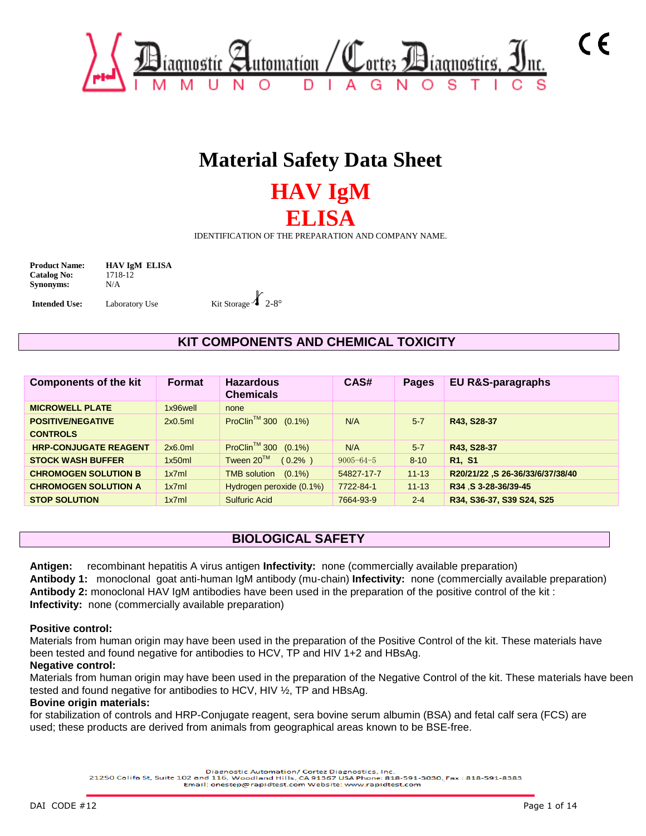

# **Material Safety Data Sheet**

# **HAV IgM ELISA**

IDENTIFICATION OF THE PREPARATION AND COMPANY NAME.

**Catalog No:** 1718-12 **Synonyms:** N/A

**Product Name: HAV IgM ELISA** 



# **KIT COMPONENTS AND CHEMICAL TOXICITY**

| <b>Components of the kit</b>                | <b>Format</b> | <b>Hazardous</b><br><b>Chemicals</b> | CAS#            | Pages     | <b>EU R&amp;S-paragraphs</b>     |
|---------------------------------------------|---------------|--------------------------------------|-----------------|-----------|----------------------------------|
| <b>MICROWELL PLATE</b>                      | 1x96well      | none                                 |                 |           |                                  |
| <b>POSITIVE/NEGATIVE</b><br><b>CONTROLS</b> | 2x0.5ml       | ProClin <sup>™</sup> 300 (0.1%)      | N/A             | $5 - 7$   | R43, S28-37                      |
| <b>HRP-CONJUGATE REAGENT</b>                | 2x6.0ml       | ProClin <sup>™</sup> 300 (0.1%)      | N/A             | $5 - 7$   | R43, S28-37                      |
| <b>STOCK WASH BUFFER</b>                    | 1x50ml        | Tween 20™<br>$(0.2\% )$              | $9005 - 64 - 5$ | $8 - 10$  | R <sub>1</sub> , S <sub>1</sub>  |
| <b>CHROMOGEN SOLUTION B</b>                 | 1x7ml         | <b>TMB solution</b><br>$(0.1\%)$     | 54827-17-7      | $11 - 13$ | R20/21/22 ,S 26-36/33/6/37/38/40 |
| <b>CHROMOGEN SOLUTION A</b>                 | 1x7ml         | Hydrogen peroxide (0.1%)             | 7722-84-1       | $11 - 13$ | R34 S 3-28-36/39-45              |
| <b>STOP SOLUTION</b>                        | 1x7ml         | <b>Sulfuric Acid</b>                 | 7664-93-9       | $2 - 4$   | R34, S36-37, S39 S24, S25        |

## **BIOLOGICAL SAFETY**

**Antigen:** recombinant hepatitis A virus antigen **Infectivity:** none (commercially available preparation) **Antibody 1:** monoclonal goat anti-human IgM antibody (mu-chain) **Infectivity:** none (commercially available preparation) **Antibody 2:** monoclonal HAV IgM antibodies have been used in the preparation of the positive control of the kit : **Infectivity:** none (commercially available preparation)

#### **Positive control:**

Materials from human origin may have been used in the preparation of the Positive Control of the kit. These materials have been tested and found negative for antibodies to HCV, TP and HIV 1+2 and HBsAg.

### **Negative control:**

Materials from human origin may have been used in the preparation of the Negative Control of the kit. These materials have been tested and found negative for antibodies to HCV, HIV ½, TP and HBsAg.

### **Bovine origin materials:**

for stabilization of controls and HRP-Conjugate reagent, sera bovine serum albumin (BSA) and fetal calf sera (FCS) are used; these products are derived from animals from geographical areas known to be BSE-free.

Diagnostic Automation/ Cortez Diagnostics, Inc.<br>21250 Califa St, Suite 102 and 116, Woodland Hills, CA 91367 USA Phone: 818-591-3030, Fax : 818-591-8383

Email: onestep@rapidtest.com Website: www.rapidtest.com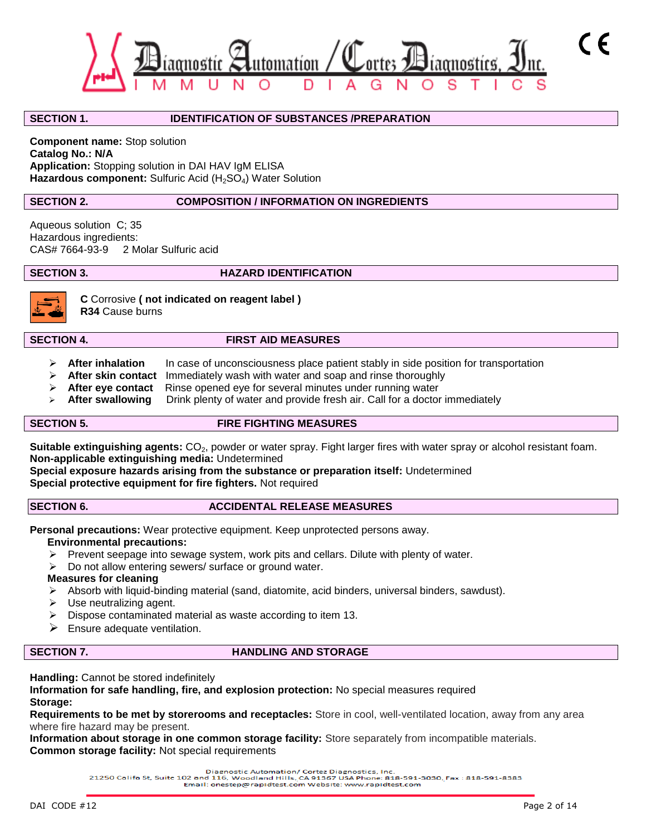

#### **SECTION 1. IDENTIFICATION OF SUBSTANCES /PREPARATION**

**Component name:** Stop solution **Catalog No.: N/A Application:** Stopping solution in DAI HAV IgM ELISA Hazardous component: Sulfuric Acid (H<sub>2</sub>SO<sub>4</sub>) Water Solution

### **SECTION 2. COMPOSITION / INFORMATION ON INGREDIENTS**

Aqueous solution C; 35 Hazardous ingredients:<br>CAS# 7664-93-9 2 M 2 Molar Sulfuric acid

**SECTION 3.** HAZARD IDENTIFICATION



# **C** Corrosive **( not indicated on reagent label )**

**R34** Cause burns

#### **SECTION 4. FIRST AID MEASURES**

- **EXTER 10 After inhalation** In case of unconsciousness place patient stably in side position for transportation
- **After skin contact** Immediately wash with water and soap and rinse thoroughly
- **After eye contact** Rinse opened eye for several minutes under running water
- **After swallowing** Drink plenty of water and provide fresh air. Call for a doctor immediately

#### **SECTION 5. FIRE FIGHTING MEASURES**

Suitable extinguishing agents: CO<sub>2</sub>, powder or water spray. Fight larger fires with water spray or alcohol resistant foam. **Non-applicable extinguishing media:** Undetermined

**Special exposure hazards arising from the substance or preparation itself:** Undetermined **Special protective equipment for fire fighters.** Not required

#### **SECTION 6. ACCIDENTAL RELEASE MEASURES**

**Personal precautions:** Wear protective equipment. Keep unprotected persons away.

### **Environmental precautions:**

- $\triangleright$  Prevent seepage into sewage system, work pits and cellars. Dilute with plenty of water.
- $\triangleright$  Do not allow entering sewers/ surface or ground water.

#### **Measures for cleaning**

- $\triangleright$  Absorb with liquid-binding material (sand, diatomite, acid binders, universal binders, sawdust).
- $\triangleright$  Use neutralizing agent.
- Dispose contaminated material as waste according to item 13.
- $\triangleright$  Ensure adequate ventilation.

### **SECTION 7. HANDLING AND STORAGE**

**Handling:** Cannot be stored indefinitely

**Information for safe handling, fire, and explosion protection:** No special measures required **Storage:**

**Requirements to be met by storerooms and receptacles:** Store in cool, well-ventilated location, away from any area where fire hazard may be present.

**Information about storage in one common storage facility:** Store separately from incompatible materials. **Common storage facility:** Not special requirements

Diagnostic Automation/ Cortez Diagnostics, Inc.<br>21250 Califa St, Suite 102 and 116, Woodland Hills, CA 91367 USA Phone: 818-591-3030, Fax : 818-591-8383 Email: onestep@rapidtest.com Website: www.rapidtest.com

 $\epsilon$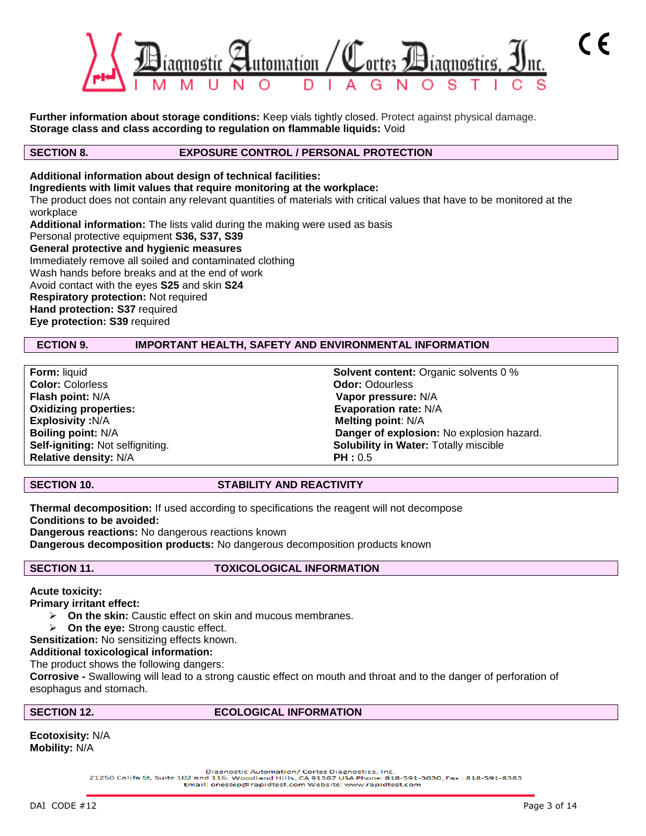

**Further information about storage conditions:** Keep vials tightly closed. Protect against physical damage. **Storage class and class according to regulation on flammable liquids:** Void

### **SECTION 8. EXPOSURE CONTROL / PERSONAL PROTECTION**

### **Additional information about design of technical facilities:**

**Ingredients with limit values that require monitoring at the workplace:**

The product does not contain any relevant quantities of materials with critical values that have to be monitored at the workplace

**Additional information:** The lists valid during the making were used as basis Personal protective equipment **S36, S37, S39 General protective and hygienic measures** Immediately remove all soiled and contaminated clothing Wash hands before breaks and at the end of work Avoid contact with the eyes **S25** and skin **S24 Respiratory protection:** Not required **Hand protection: S37** required

**Eye protection: S39** required

### **SECTION 9. IMPORTANT HEALTH, SAFETY AND ENVIRONMENTAL INFORMATION**

**Color:** Colorless **Color: Color: Color: Odor: Odor: Odor: Odor: Odor: Odor: Odor: Odor: Odor: Odor: Odor: Odor: Odor: Odor: Odor: Odor: Odor: Odor: Odor: Odor: Odor: Odor: Flash point:** N/A **Vapor pressure:** N/A **Explosivity :**N/A **Melting point**: N/A **Relative density:**  $N/A$  **PH : 0.5** 

**Form:** liquid **Solvent content:** Organic solvents 0 % **Evaporation rate: N/A Boiling point:** N/A **Danger of explosion:** No explosion hazard. **Self-igniting:** Not selfigniting. **Solubility in Water:** Totally miscible

### **SECTION 10.** STABILITY AND REACTIVITY

**Thermal decomposition:** If used according to specifications the reagent will not decompose **Conditions to be avoided: Dangerous reactions:** No dangerous reactions known **Dangerous decomposition products:** No dangerous decomposition products known

### **SECTION 11. TOXICOLOGICAL INFORMATION**

#### **Acute toxicity:**

#### **Primary irritant effect:**

- **On the skin:** Caustic effect on skin and mucous membranes.
- **On the eye:** Strong caustic effect.
- **Sensitization:** No sensitizing effects known.

#### **Additional toxicological information:**

The product shows the following dangers:

**Corrosive -** Swallowing will lead to a strong caustic effect on mouth and throat and to the danger of perforation of esophagus and stomach.

#### SECTION 12. **ECOLOGICAL INFORMATION**

**Ecotoxisity:** N/A **Mobility:** N/A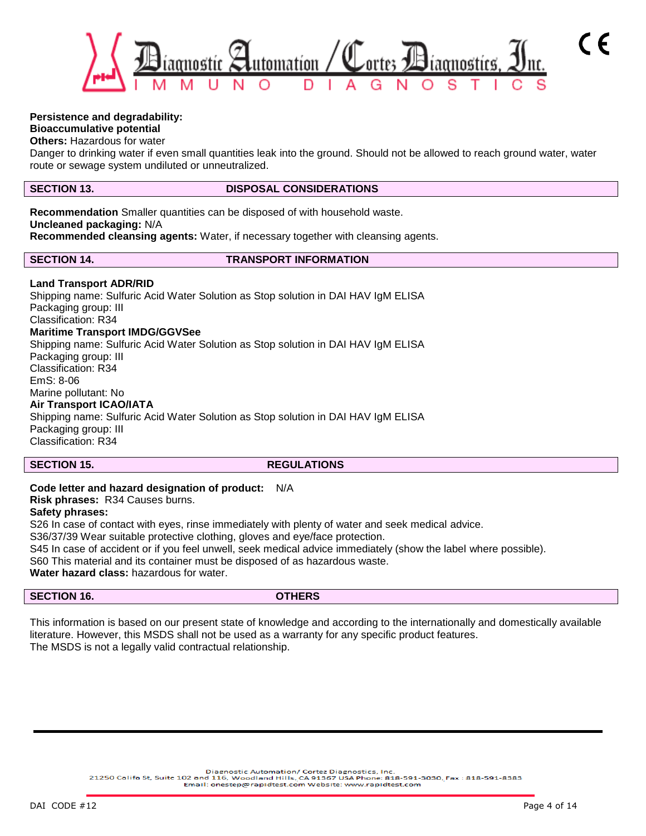

### **Persistence and degradability:**

### **Bioaccumulative potential**

**Others:** Hazardous for water

Danger to drinking water if even small quantities leak into the ground. Should not be allowed to reach ground water, water route or sewage system undiluted or unneutralized.

#### **SECTION 13. DISPOSAL CONSIDERATIONS**

**Recommendation** Smaller quantities can be disposed of with household waste. **Uncleaned packaging:** N/A **Recommended cleansing agents:** Water, if necessary together with cleansing agents.

**SECTION 14. TRANSPORT INFORMATION**

#### **Land Transport ADR/RID**

Shipping name: Sulfuric Acid Water Solution as Stop solution in DAI HAV IgM ELISA Packaging group: III Classification: R34 **Maritime Transport IMDG/GGVSee** Shipping name: Sulfuric Acid Water Solution as Stop solution in DAI HAV IgM ELISA Packaging group: III Classification: R34 EmS: 8-06 Marine pollutant: No **Air Transport ICAO/IATA** Shipping name: Sulfuric Acid Water Solution as Stop solution in DAI HAV IgM ELISA Packaging group: III

Classification: R34

#### **SECTION 15.** REGULATIONS

#### **Code letter and hazard designation of product:** N/A

**Risk phrases:** R34 Causes burns.

#### **Safety phrases:**

S26 In case of contact with eyes, rinse immediately with plenty of water and seek medical advice. S36/37/39 Wear suitable protective clothing, gloves and eye/face protection.

S45 In case of accident or if you feel unwell, seek medical advice immediately (show the label where possible).

S60 This material and its container must be disposed of as hazardous waste.

**Water hazard class:** hazardous for water.

**SECTION 16. OTHERS**

This information is based on our present state of knowledge and according to the internationally and domestically available literature. However, this MSDS shall not be used as a warranty for any specific product features. The MSDS is not a legally valid contractual relationship.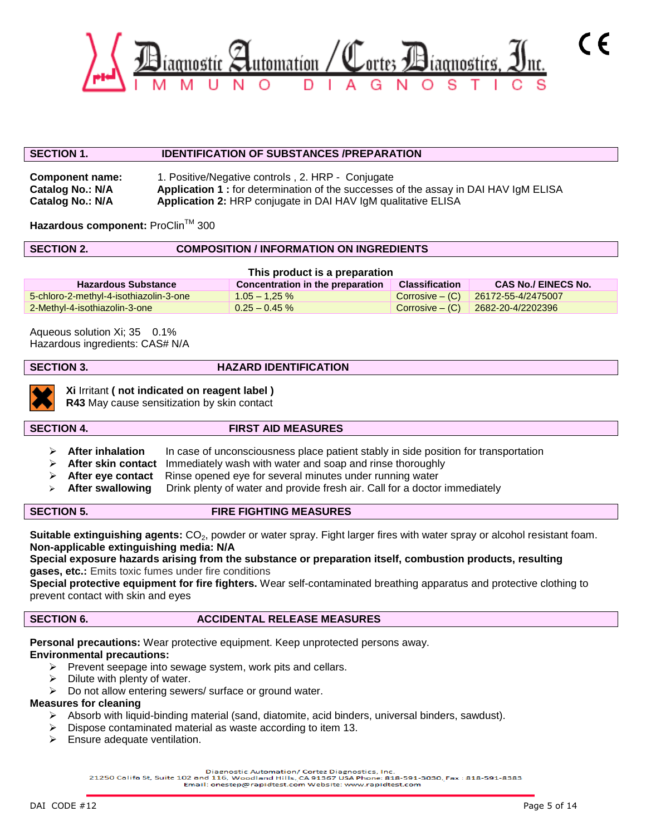

#### **SECTION 1. IDENTIFICATION OF SUBSTANCES /PREPARATION**

**Component name:** 1. Positive/Negative controls , 2. HRP - Conjugate **Catalog No.: N/A Application 1 :** for determination of the successes of the assay in DAI HAV IgM ELISA **Catalog No.: N/A Application 2:** HRP conjugate in DAI HAV IgM qualitative ELISA

Hazardous component: ProClin™ 300

#### **SECTION 2. COMPOSITION / INFORMATION ON INGREDIENTS**

| This product is a preparation          |                                  |                   |                                   |  |  |  |  |  |  |
|----------------------------------------|----------------------------------|-------------------|-----------------------------------|--|--|--|--|--|--|
| <b>Hazardous Substance</b>             | Concentration in the preparation | Classification    | <b>CAS No./ EINECS No.</b>        |  |  |  |  |  |  |
| 5-chloro-2-methyl-4-isothiazolin-3-one | $1.05 - 1.25 \%$                 | $Corrosive - (C)$ | 26172-55-4/2475007                |  |  |  |  |  |  |
| 2-Methyl-4-isothiazolin-3-one          | $0.25 - 0.45 \%$                 |                   | Corrosive – (C) 2682-20-4/2202396 |  |  |  |  |  |  |

Aqueous solution Xi; 35 0.1% Hazardous ingredients: CAS# N/A

#### **SECTION 3. HAZARD IDENTIFICATION**



**Xi** Irritant **( not indicated on reagent label )**

**R43** May cause sensitization by skin contact

#### **SECTION 4. FIRST AID MEASURES**

- **EXAfter inhalation** In case of unconsciousness place patient stably in side position for transportation
- **After skin contact** Immediately wash with water and soap and rinse thoroughly
- **After eye contact** Rinse opened eye for several minutes under running water
- **After swallowing** Drink plenty of water and provide fresh air. Call for a doctor immediately

### **SECTION 5. FIRE FIGHTING MEASURES**

**Suitable extinguishing agents:** CO<sub>2</sub>, powder or water spray. Fight larger fires with water spray or alcohol resistant foam. **Non-applicable extinguishing media: N/A**

**Special exposure hazards arising from the substance or preparation itself, combustion products, resulting gases, etc.:** Emits toxic fumes under fire conditions

**Special protective equipment for fire fighters.** Wear self-contaminated breathing apparatus and protective clothing to prevent contact with skin and eyes

#### **SECTION 6. ACCIDENTAL RELEASE MEASURES**

**Personal precautions:** Wear protective equipment. Keep unprotected persons away.

#### **Environmental precautions:**

- $\triangleright$  Prevent seepage into sewage system, work pits and cellars.
- $\triangleright$  Dilute with plenty of water.
- $\triangleright$  Do not allow entering sewers/ surface or ground water.

### **Measures for cleaning**

- $\triangleright$  Absorb with liquid-binding material (sand, diatomite, acid binders, universal binders, sawdust).
- $\triangleright$  Dispose contaminated material as waste according to item 13.
- $\triangleright$  Ensure adequate ventilation.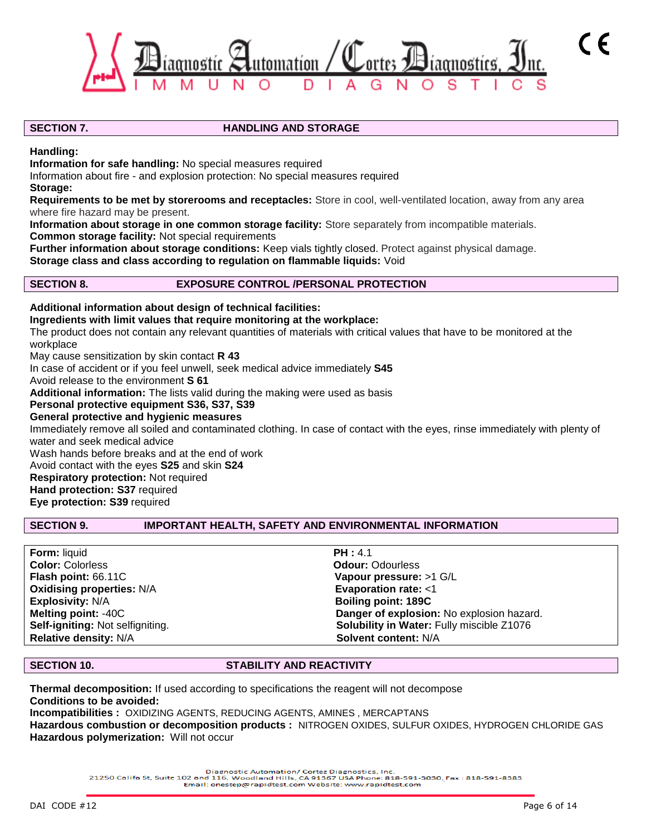

#### **SECTION 7.** HANDLING AND STORAGE

**Handling:**

**Information for safe handling:** No special measures required

Information about fire - and explosion protection: No special measures required

**Storage:**

**Requirements to be met by storerooms and receptacles:** Store in cool, well-ventilated location, away from any area where fire hazard may be present.

**Information about storage in one common storage facility:** Store separately from incompatible materials. **Common storage facility:** Not special requirements

**Further information about storage conditions:** Keep vials tightly closed. Protect against physical damage. **Storage class and class according to regulation on flammable liquids:** Void

### **SECTION 8. EXPOSURE CONTROL /PERSONAL PROTECTION**

**Additional information about design of technical facilities: Ingredients with limit values that require monitoring at the workplace:** The product does not contain any relevant quantities of materials with critical values that have to be monitored at the workplace May cause sensitization by skin contact **R 43** In case of accident or if you feel unwell, seek medical advice immediately **S45** Avoid release to the environment **S 61 Additional information:** The lists valid during the making were used as basis **Personal protective equipment S36, S37, S39 General protective and hygienic measures** Immediately remove all soiled and contaminated clothing. In case of contact with the eyes, rinse immediately with plenty of water and seek medical advice Wash hands before breaks and at the end of work Avoid contact with the eyes **S25** and skin **S24 Respiratory protection:** Not required **Hand protection: S37** required **Eye protection: S39** required

### **SECTION 9. IMPORTANT HEALTH, SAFETY AND ENVIRONMENTAL INFORMATION**

| <b>Form: liquid</b>              | PH: 4.1                                   |
|----------------------------------|-------------------------------------------|
| <b>Color: Colorless</b>          | <b>Odour: Odourless</b>                   |
| Flash point: 66.11C              | Vapour pressure: >1 G/L                   |
| <b>Oxidising properties: N/A</b> | Evaporation rate: <1                      |
| <b>Explosivity: N/A</b>          | <b>Boiling point: 189C</b>                |
| <b>Melting point: -40C</b>       | Danger of explosion: No explosion hazard. |
| Self-igniting: Not selfigniting. | Solubility in Water: Fully miscible Z1076 |
| <b>Relative density: N/A</b>     | Solvent content: N/A                      |

#### **SECTION 10. STABILITY AND REACTIVITY**

**Thermal decomposition:** If used according to specifications the reagent will not decompose **Conditions to be avoided: Incompatibilities :** OXIDIZING AGENTS, REDUCING AGENTS, AMINES , MERCAPTANS

**Hazardous combustion or decomposition products :** NITROGEN OXIDES, SULFUR OXIDES, HYDROGEN CHLORIDE GAS **Hazardous polymerization:** Will not occur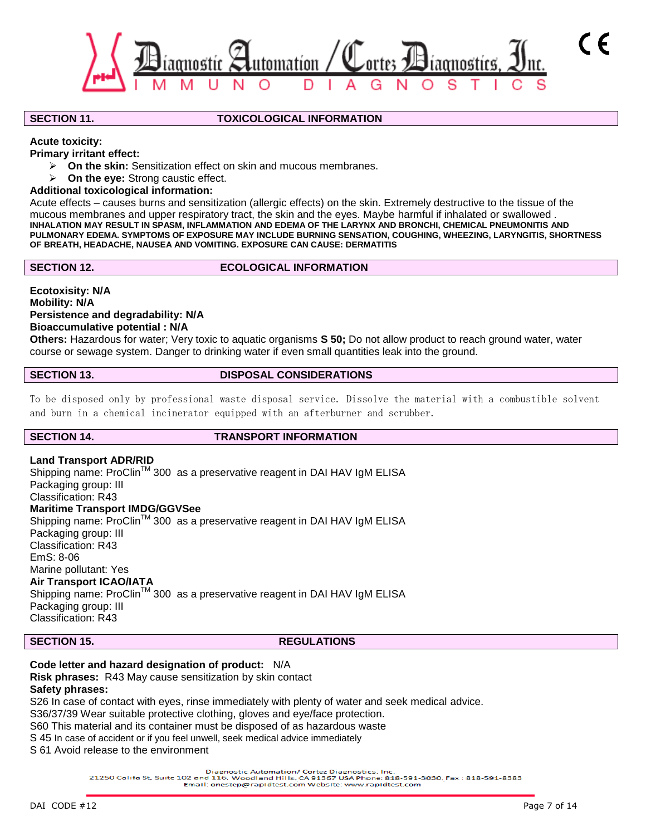

#### **SECTION 11. TOXICOLOGICAL INFORMATION**

#### **Acute toxicity:**

**Primary irritant effect:**

- **On the skin:** Sensitization effect on skin and mucous membranes.
- **On the eye:** Strong caustic effect.

#### **Additional toxicological information:**

Acute effects – causes burns and sensitization (allergic effects) on the skin. Extremely destructive to the tissue of the mucous membranes and upper respiratory tract, the skin and the eyes. Maybe harmful if inhalated or swallowed . **INHALATION MAY RESULT IN SPASM, INFLAMMATION AND EDEMA OF THE LARYNX AND BRONCHI, CHEMICAL PNEUMONITIS AND PULMONARY EDEMA. SYMPTOMS OF EXPOSURE MAY INCLUDE BURNING SENSATION, COUGHING, WHEEZING, LARYNGITIS, SHORTNESS OF BREATH, HEADACHE, NAUSEA AND VOMITING. EXPOSURE CAN CAUSE: DERMATITIS**

### **SECTION 12.** ECOLOGICAL INFORMATION

**Ecotoxisity: N/A Mobility: N/A Persistence and degradability: N/A Bioaccumulative potential : N/A**

**Others:** Hazardous for water; Very toxic to aquatic organisms **S 50;** Do not allow product to reach ground water, water course or sewage system. Danger to drinking water if even small quantities leak into the ground.

### **SECTION 13. DISPOSAL CONSIDERATIONS**

To be disposed only by professional waste disposal service. Dissolve the material with a combustible solvent and burn in a chemical incinerator equipped with an afterburner and scrubber.

#### **SECTION 14. TRANSPORT INFORMATION**

### **Land Transport ADR/RID**

Shipping name: ProClin<sup>™</sup> 300 as a preservative reagent in DAI HAV IgM ELISA Packaging group: III Classification: R43 **Maritime Transport IMDG/GGVSee** Shipping name: ProClinTM 300 as a preservative reagent in DAI HAV IgM ELISA Packaging group: III Classification: R43 EmS: 8-06 Marine pollutant: Yes **Air Transport ICAO/IATA** Shipping name: ProClin<sup>™</sup> 300 as a preservative reagent in DAI HAV IgM ELISA Packaging group: III Classification: R43

### **SECTION 15.** REGULATIONS

### **Code letter and hazard designation of product:** N/A **Risk phrases:** R43 May cause sensitization by skin contact

#### **Safety phrases:**

S26 In case of contact with eyes, rinse immediately with plenty of water and seek medical advice.

S36/37/39 Wear suitable protective clothing, gloves and eye/face protection.

S60 This material and its container must be disposed of as hazardous waste

S 45 In case of accident or if you feel unwell, seek medical advice immediately

S 61 Avoid release to the environment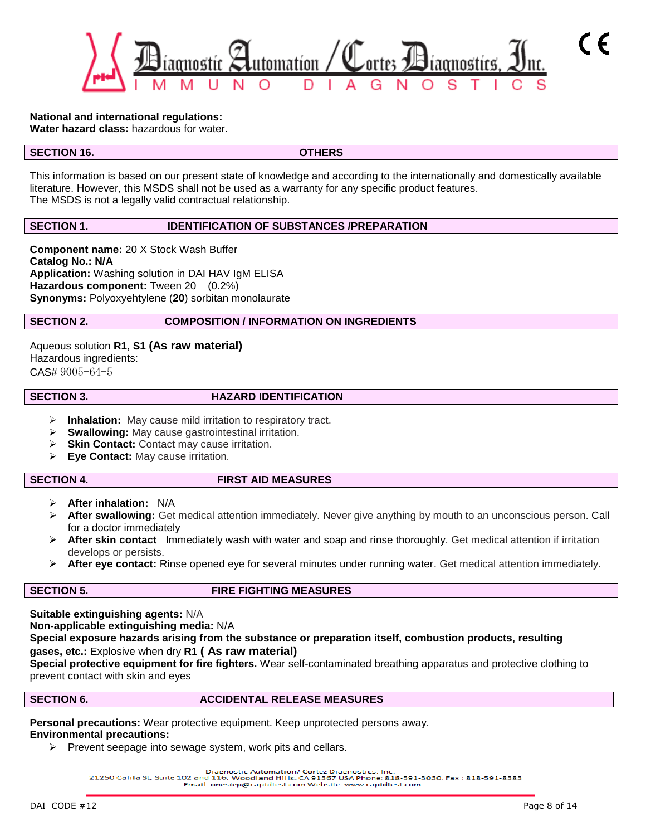

### **National and international regulations:**

**Water hazard class:** hazardous for water.

### **SECTION 16.** OTHERS

This information is based on our present state of knowledge and according to the internationally and domestically available literature. However, this MSDS shall not be used as a warranty for any specific product features. The MSDS is not a legally valid contractual relationship.

### **SECTION 1. IDENTIFICATION OF SUBSTANCES /PREPARATION**

**Component name:** 20 X Stock Wash Buffer **Catalog No.: N/A Application:** Washing solution in DAI HAV IgM ELISA **Hazardous component:** Tween 20 (0.2%) **Synonyms:** Polyoxyehtylene (**20**) sorbitan monolaurate

### **SECTION 2. COMPOSITION / INFORMATION ON INGREDIENTS**

Aqueous solution **R1, S1 (As raw material)** Hazardous ingredients: CAS# 9005-64-5

#### **SECTION 3. HAZARD IDENTIFICATION**

- **Inhalation:** May cause mild irritation to respiratory tract.
- **Swallowing:** May cause gastrointestinal irritation.
- **Skin Contact:** Contact may cause irritation.
- **Eye Contact:** May cause irritation.

### **SECTION 4. FIRST AID MEASURES**

- **After inhalation:** N/A
- **After swallowing:** Get medical attention immediately. Never give anything by mouth to an unconscious person. Call for a doctor immediately
- **After skin contact** Immediately wash with water and soap and rinse thoroughly. Get medical attention if irritation develops or persists.
- **After eye contact:** Rinse opened eye for several minutes under running water. Get medical attention immediately.

### **SECTION 5. FIRE FIGHTING MEASURES**

**Suitable extinguishing agents:** N/A **Non-applicable extinguishing media:** N/A **Special exposure hazards arising from the substance or preparation itself, combustion products, resulting gases, etc.:** Explosive when dry **R1 ( As raw material)** 

**Special protective equipment for fire fighters.** Wear self-contaminated breathing apparatus and protective clothing to prevent contact with skin and eyes

### **SECTION 6.** ACCIDENTAL RELEASE MEASURES

**Personal precautions:** Wear protective equipment. Keep unprotected persons away. **Environmental precautions:**

 $\triangleright$  Prevent seepage into sewage system, work pits and cellars.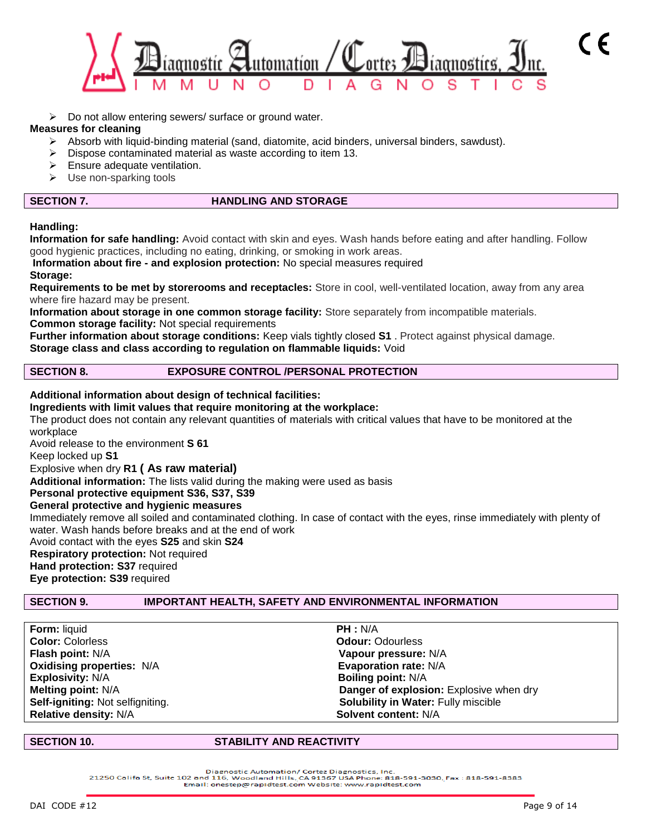

 $\triangleright$  Do not allow entering sewers/ surface or ground water.

#### **Measures for cleaning**

- Absorb with liquid-binding material (sand, diatomite, acid binders, universal binders, sawdust).
- $\triangleright$  Dispose contaminated material as waste according to item 13.
- $\triangleright$  Ensure adequate ventilation.
- $\triangleright$  Use non-sparking tools

### **SECTION 7. HANDLING AND STORAGE**

#### **Handling:**

**Information for safe handling:** Avoid contact with skin and eyes. Wash hands before eating and after handling. Follow good hygienic practices, including no eating, drinking, or smoking in work areas.

# **Information about fire - and explosion protection:** No special measures required

#### **Storage:**

**Requirements to be met by storerooms and receptacles:** Store in cool, well-ventilated location, away from any area where fire hazard may be present.

**Information about storage in one common storage facility:** Store separately from incompatible materials. **Common storage facility:** Not special requirements

**Further information about storage conditions:** Keep vials tightly closed **S1** . Protect against physical damage. **Storage class and class according to regulation on flammable liquids:** Void

### **SECTION 8. EXPOSURE CONTROL /PERSONAL PROTECTION**

#### **Additional information about design of technical facilities:**

**Ingredients with limit values that require monitoring at the workplace:** The product does not contain any relevant quantities of materials with critical values that have to be monitored at the workplace

Avoid release to the environment **S 61**

Keep locked up **S1**

#### Explosive when dry **R1 ( As raw material)**

**Additional information:** The lists valid during the making were used as basis

**Personal protective equipment S36, S37, S39** 

### **General protective and hygienic measures**

Immediately remove all soiled and contaminated clothing. In case of contact with the eyes, rinse immediately with plenty of water. Wash hands before breaks and at the end of work

Avoid contact with the eyes **S25** and skin **S24 Respiratory protection:** Not required **Hand protection: S37** required

**Eye protection: S39** required

#### **SECTION 9. IMPORTANT HEALTH, SAFETY AND ENVIRONMENTAL INFORMATION**

**Form:** liquid **PH :** N/A **Color:** Colorless **Colories Color: Colories Odour: Odour: Odourless Flash point:** N/A **Vapour pressure:** N/A **Oxidising properties:**  $N/A$  **Evaporation rate:**  $N/A$ **Explosivity:** N/A **Boiling point:** N/A **Relative density:**  $N/A$  **Solvent content:**  $N/A$ 

**Melting point:** N/A **Danger of explosion:** Explosive when dry **Self-igniting:** Not selfigniting. **Solubility in Water:** Fully miscible

#### **SECTION 10. STABILITY AND REACTIVITY**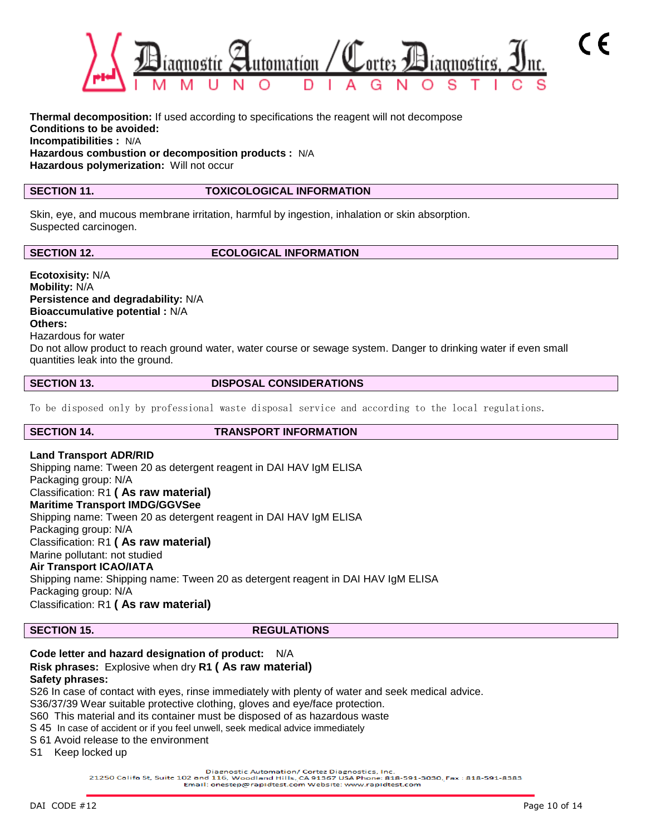

**Thermal decomposition:** If used according to specifications the reagent will not decompose **Conditions to be avoided: Incompatibilities :** N/A **Hazardous combustion or decomposition products :** N/A **Hazardous polymerization:** Will not occur

### **SECTION 11. TOXICOLOGICAL INFORMATION**

Skin, eye, and mucous membrane irritation, harmful by ingestion, inhalation or skin absorption. Suspected carcinogen.

**SECTION 12.** ECOLOGICAL INFORMATION

**Ecotoxisity:** N/A **Mobility:** N/A **Persistence and degradability:** N/A **Bioaccumulative potential :** N/A **Others:** Hazardous for water Do not allow product to reach ground water, water course or sewage system. Danger to drinking water if even small quantities leak into the ground.

**SECTION 13.** DISPOSAL CONSIDERATIONS

To be disposed only by professional waste disposal service and according to the local regulations.

**SECTION 14. TRANSPORT INFORMATION**

**Land Transport ADR/RID** Shipping name: Tween 20 as detergent reagent in DAI HAV IgM ELISA Packaging group: N/A Classification: R1 **( As raw material) Maritime Transport IMDG/GGVSee** Shipping name: Tween 20 as detergent reagent in DAI HAV IgM ELISA Packaging group: N/A Classification: R1 **( As raw material)** Marine pollutant: not studied **Air Transport ICAO/IATA** Shipping name: Shipping name: Tween 20 as detergent reagent in DAI HAV IgM ELISA Packaging group: N/A Classification: R1 **( As raw material)**

**SECTION 15.** REGULATIONS

#### **Code letter and hazard designation of product:** N/A **Risk phrases:** Explosive when dry **R1 ( As raw material) Safety phrases:**

S26 In case of contact with eyes, rinse immediately with plenty of water and seek medical advice.

S36/37/39 Wear suitable protective clothing, gloves and eye/face protection.

- S60 This material and its container must be disposed of as hazardous waste
- S 45 In case of accident or if you feel unwell, seek medical advice immediately
- S 61 Avoid release to the environment

S1 Keep locked up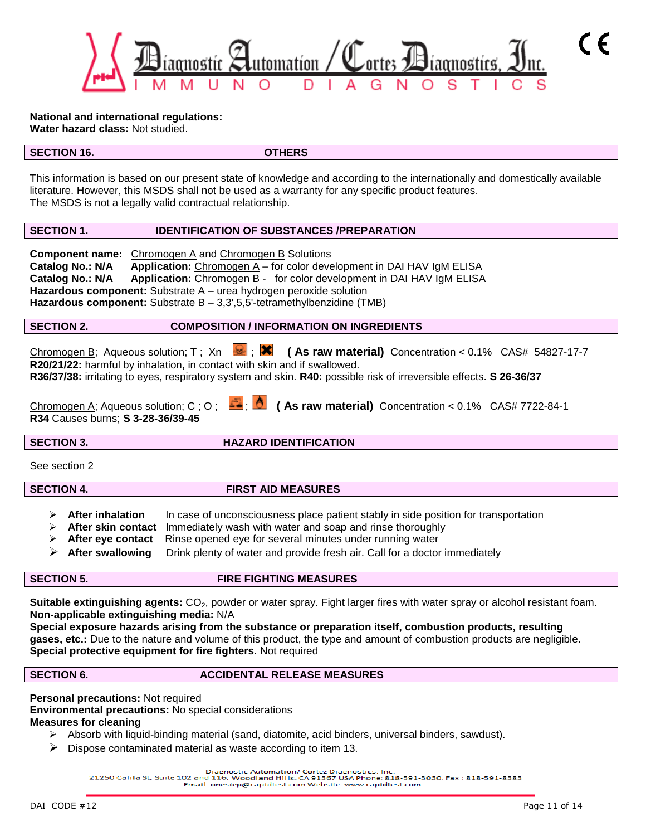

**National and international regulations: Water hazard class:** Not studied.

#### **SECTION 16. OTHERS**

This information is based on our present state of knowledge and according to the internationally and domestically available literature. However, this MSDS shall not be used as a warranty for any specific product features. The MSDS is not a legally valid contractual relationship.

### **SECTION 1. IDENTIFICATION OF SUBSTANCES /PREPARATION**

**Component name:** Chromogen A and Chromogen B Solutions **Catalog No.: N/A** Application: Chromogen A - for color development in DAI HAV IgM ELISA **Catalog No.: N/A Application:** Chromogen B - for color development in DAI HAV IgM ELISA **Hazardous component:** Substrate A – urea hydrogen peroxide solution Hazardous component: Substrate B - 3,3',5,5'-tetramethylbenzidine (TMB)

#### **SECTION 2. COMPOSITION / INFORMATION ON INGREDIENTS**

Chromogen B; Aqueous solution; T; Xn  $\cdot$  **(Xi** (As raw material) Concentration < 0.1% CAS# 54827-17-7 **R20/21/22:** harmful by inhalation, in contact with skin and if swallowed. **R36/37/38:** irritating to eyes, respiratory system and skin. **R40:** possible risk of irreversible effects. **S 26-36/37**

| Chromogen A; Aqueous solution; C; O; $\frac{1}{2}$ ; $\frac{1}{2}$ (As raw material) Concentration < 0.1% CAS# 7722-84-1 |  |  |
|--------------------------------------------------------------------------------------------------------------------------|--|--|
| R34 Causes burns; S 3-28-36/39-45                                                                                        |  |  |

**SECTION 3.** HAZARD IDENTIFICATION

See section 2

**SECTION 4. FIRST AID MEASURES** 

- **After inhalation** In case of unconsciousness place patient stably in side position for transportation
- **After skin contact** Immediately wash with water and soap and rinse thoroughly
- **After eye contact** Rinse opened eye for several minutes under running water
- **After swallowing** Drink plenty of water and provide fresh air. Call for a doctor immediately

## **SECTION 5. FIRE FIGHTING MEASURES**

Suitable extinguishing agents: CO<sub>2</sub>, powder or water spray. Fight larger fires with water spray or alcohol resistant foam. **Non-applicable extinguishing media:** N/A

**Special exposure hazards arising from the substance or preparation itself, combustion products, resulting gases, etc.:** Due to the nature and volume of this product, the type and amount of combustion products are negligible. **Special protective equipment for fire fighters.** Not required

**SECTION 6.** ACCIDENTAL RELEASE MEASURES

### **Personal precautions:** Not required

**Environmental precautions:** No special considerations

# **Measures for cleaning**

- $\triangleright$  Absorb with liquid-binding material (sand, diatomite, acid binders, universal binders, sawdust).
- $\triangleright$  Dispose contaminated material as waste according to item 13.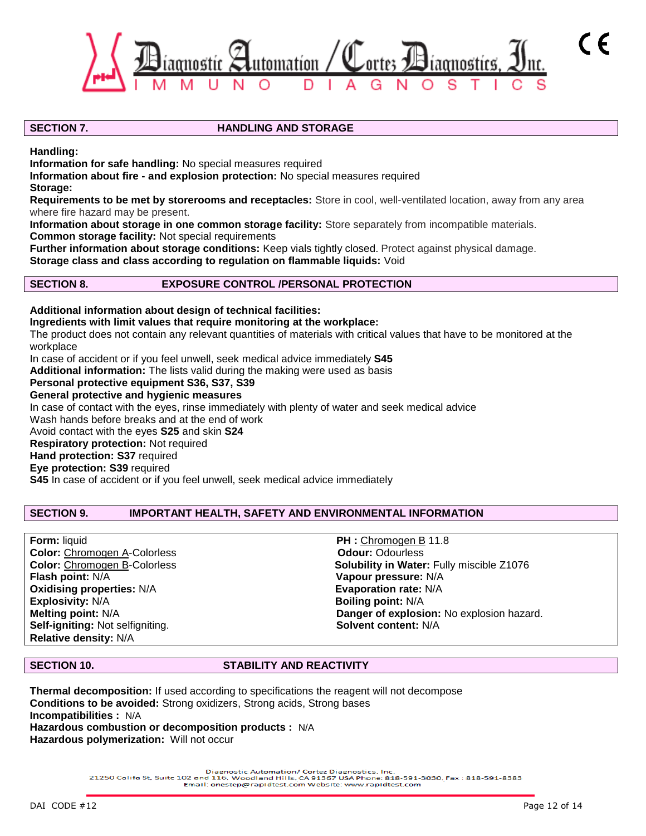

### **SECTION 7. HANDLING AND STORAGE**

**Handling:**

**Information for safe handling:** No special measures required

**Information about fire - and explosion protection:** No special measures required **Storage:**

**Requirements to be met by storerooms and receptacles:** Store in cool, well-ventilated location, away from any area where fire hazard may be present.

**Information about storage in one common storage facility:** Store separately from incompatible materials. **Common storage facility:** Not special requirements

**Further information about storage conditions:** Keep vials tightly closed. Protect against physical damage. **Storage class and class according to regulation on flammable liquids:** Void

### **SECTION 8. EXPOSURE CONTROL /PERSONAL PROTECTION**

**Additional information about design of technical facilities: Ingredients with limit values that require monitoring at the workplace:** The product does not contain any relevant quantities of materials with critical values that have to be monitored at the workplace In case of accident or if you feel unwell, seek medical advice immediately **S45 Additional information:** The lists valid during the making were used as basis **Personal protective equipment S36, S37, S39 General protective and hygienic measures** In case of contact with the eyes, rinse immediately with plenty of water and seek medical advice Wash hands before breaks and at the end of work Avoid contact with the eyes **S25** and skin **S24 Respiratory protection:** Not required **Hand protection: S37** required

**Eye protection: S39** required

**S45** In case of accident or if you feel unwell, seek medical advice immediately

#### **SECTION 9. IMPORTANT HEALTH, SAFETY AND ENVIRONMENTAL INFORMATION**

**Form:** liquid **PH : Chromogen B 11.8 Color:** Chromogen A-Colorless **Color: Odour:** Odourless **Flash point:** N/A **Vapour pressure:** N/A **Oxidising properties: N/A<br>Explosivity: N/A Self-igniting:** Not selfigniting. **Solvent content:** N/A **Relative density:** N/A

**Color:** Chromogen B-Colorless **Solubility in Water:** Fully miscible Z1076 **Explosivity:** N/A **Boiling point:** N/A **Melting point:** N/A **Danger of explosion:** No explosion hazard.

#### **SECTION 10. STABILITY AND REACTIVITY**

**Thermal decomposition:** If used according to specifications the reagent will not decompose **Conditions to be avoided:** Strong oxidizers, Strong acids, Strong bases **Incompatibilities :** N/A **Hazardous combustion or decomposition products :** N/A **Hazardous polymerization:** Will not occur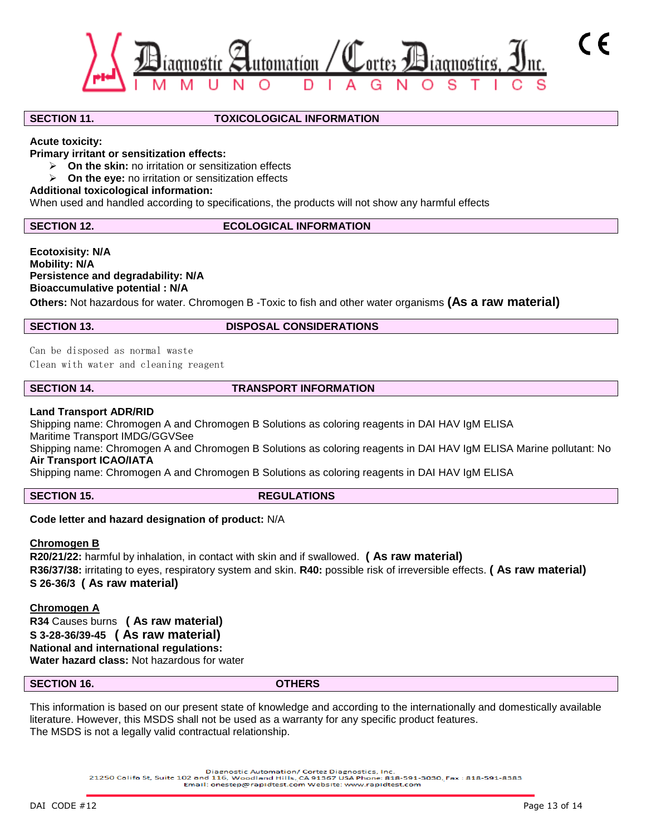

#### **SECTION 11. TOXICOLOGICAL INFORMATION**

**Acute toxicity:**

**Primary irritant or sensitization effects:**

- **On the skin:** no irritation or sensitization effects
- **On the eye:** no irritation or sensitization effects

### **Additional toxicological information:**

When used and handled according to specifications, the products will not show any harmful effects

### **SECTION 12.** ECOLOGICAL INFORMATION

**Ecotoxisity: N/A Mobility: N/A Persistence and degradability: N/A Bioaccumulative potential : N/A**

**Others:** Not hazardous for water. Chromogen B -Toxic to fish and other water organisms **(As a raw material)**

#### **SECTION 13. DISPOSAL CONSIDERATIONS**

Can be disposed as normal waste Clean with water and cleaning reagent

### **SECTION 14. TRANSPORT INFORMATION**

### **Land Transport ADR/RID**

Shipping name: Chromogen A and Chromogen B Solutions as coloring reagents in DAI HAV IgM ELISA

Maritime Transport IMDG/GGVSee

Shipping name: Chromogen A and Chromogen B Solutions as coloring reagents in DAI HAV IgM ELISA Marine pollutant: No **Air Transport ICAO/IATA**

Shipping name: Chromogen A and Chromogen B Solutions as coloring reagents in DAI HAV IgM ELISA

**SECTION 15.** REGULATIONS

### **Code letter and hazard designation of product:** N/A

#### **Chromogen B**

**R20/21/22:** harmful by inhalation, in contact with skin and if swallowed. **( As raw material) R36/37/38:** irritating to eyes, respiratory system and skin. **R40:** possible risk of irreversible effects. **( As raw material) S 26-36/3 ( As raw material)**

**Chromogen A R34** Causes burns **( As raw material) S 3-28-36/39-45 ( As raw material) National and international regulations: Water hazard class:** Not hazardous for water

#### **SECTION 16. OTHERS**

This information is based on our present state of knowledge and according to the internationally and domestically available literature. However, this MSDS shall not be used as a warranty for any specific product features. The MSDS is not a legally valid contractual relationship.